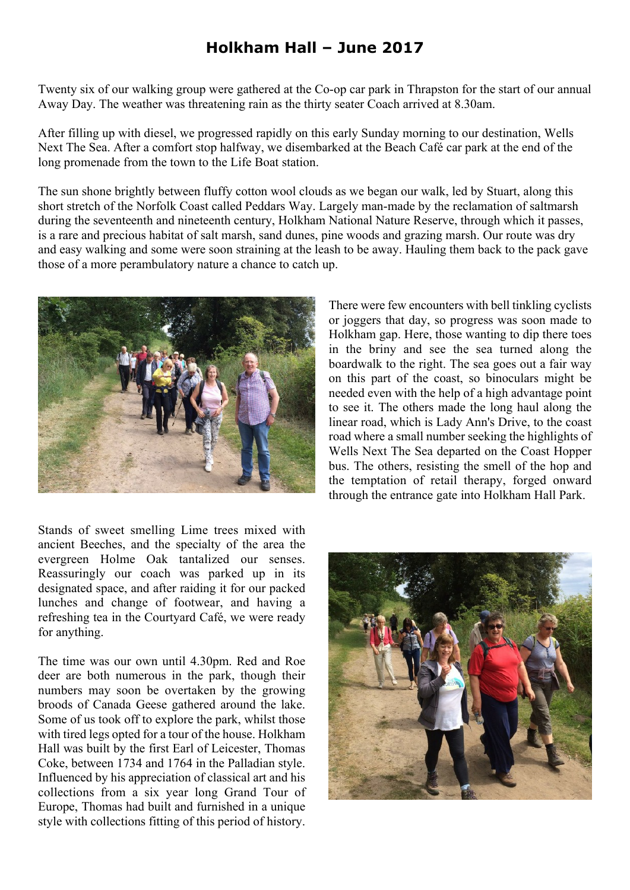## **Holkham Hall – June 2017**

Twenty six of our walking group were gathered at the Co-op car park in Thrapston for the start of our annual Away Day. The weather was threatening rain as the thirty seater Coach arrived at 8.30am.

After filling up with diesel, we progressed rapidly on this early Sunday morning to our destination, Wells Next The Sea. After a comfort stop halfway, we disembarked at the Beach Café car park at the end of the long promenade from the town to the Life Boat station.

The sun shone brightly between fluffy cotton wool clouds as we began our walk, led by Stuart, along this short stretch of the Norfolk Coast called Peddars Way. Largely man-made by the reclamation of saltmarsh during the seventeenth and nineteenth century, Holkham National Nature Reserve, through which it passes, is a rare and precious habitat of salt marsh, sand dunes, pine woods and grazing marsh. Our route was dry and easy walking and some were soon straining at the leash to be away. Hauling them back to the pack gave those of a more perambulatory nature a chance to catch up.



Stands of sweet smelling Lime trees mixed with ancient Beeches, and the specialty of the area the evergreen Holme Oak tantalized our senses. Reassuringly our coach was parked up in its designated space, and after raiding it for our packed lunches and change of footwear, and having a refreshing tea in the Courtyard Café, we were ready for anything.

The time was our own until 4.30pm. Red and Roe deer are both numerous in the park, though their numbers may soon be overtaken by the growing broods of Canada Geese gathered around the lake. Some of us took off to explore the park, whilst those with tired legs opted for a tour of the house. Holkham Hall was built by the first Earl of Leicester, Thomas Coke, between 1734 and 1764 in the Palladian style. Influenced by his appreciation of classical art and his collections from a six year long Grand Tour of Europe, Thomas had built and furnished in a unique style with collections fitting of this period of history.

There were few encounters with bell tinkling cyclists or joggers that day, so progress was soon made to Holkham gap. Here, those wanting to dip there toes in the briny and see the sea turned along the boardwalk to the right. The sea goes out a fair way on this part of the coast, so binoculars might be needed even with the help of a high advantage point to see it. The others made the long haul along the linear road, which is Lady Ann's Drive, to the coast road where a small number seeking the highlights of Wells Next The Sea departed on the Coast Hopper bus. The others, resisting the smell of the hop and the temptation of retail therapy, forged onward through the entrance gate into Holkham Hall Park.